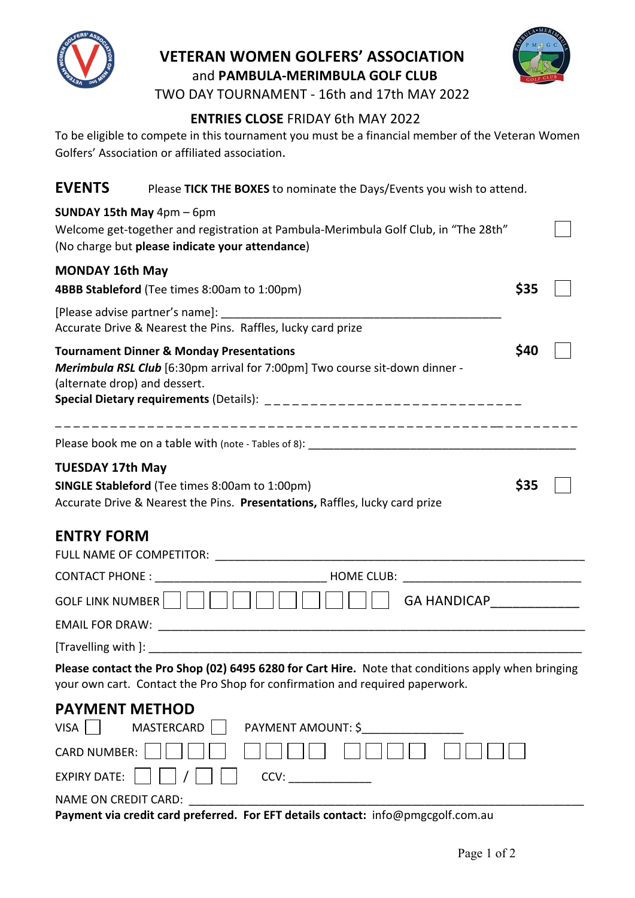

## **VETERAN WOMEN GOLFERS' ASSOCIATION** and PAMBULA-MERIMBULA GOLF CLUB



TWO DAY TOURNAMENT - 16th and 17th MAY 2022

## **ENTRIES CLOSE** FRIDAY 6th MAY 2022

To be eligible to compete in this tournament you must be a financial member of the Veteran Women Golfers' Association or affiliated association.

**EVENTS** Please TICK THE BOXES to nominate the Days/Events you wish to attend.

| SUNDAY 15th May 4pm - 6pm<br>Welcome get-together and registration at Pambula-Merimbula Golf Club, in "The 28th"<br>(No charge but please indicate your attendance)                                                                                              |      |  |  |  |  |  |
|------------------------------------------------------------------------------------------------------------------------------------------------------------------------------------------------------------------------------------------------------------------|------|--|--|--|--|--|
| <b>MONDAY 16th May</b><br>4BBB Stableford (Tee times 8:00am to 1:00pm)                                                                                                                                                                                           | \$35 |  |  |  |  |  |
| [Please advise partner's name]:<br>Accurate Drive & Nearest the Pins. Raffles, lucky card prize                                                                                                                                                                  |      |  |  |  |  |  |
| \$40<br><b>Tournament Dinner &amp; Monday Presentations</b><br>Merimbula RSL Club [6:30pm arrival for 7:00pm] Two course sit-down dinner -<br>(alternate drop) and dessert.                                                                                      |      |  |  |  |  |  |
|                                                                                                                                                                                                                                                                  |      |  |  |  |  |  |
| <b>TUESDAY 17th May</b><br>\$35<br><b>SINGLE Stableford</b> (Tee times 8:00am to 1:00pm)<br>Accurate Drive & Nearest the Pins. Presentations, Raffles, lucky card prize                                                                                          |      |  |  |  |  |  |
| <b>ENTRY FORM</b>                                                                                                                                                                                                                                                |      |  |  |  |  |  |
|                                                                                                                                                                                                                                                                  |      |  |  |  |  |  |
| GOLF LINK NUMBER        <br>GA HANDICAP <b>CONTROLLER CONTROLLER CONTROLLER CONTROLLER CONTROLLER CONTROLLER CONTROLLER CONTROLLER CONTROLLER CONTROLLER CONTROLLER CONTROLLER CONTROLLER CONTROLLER CONTROLLER CONTROLLER CONTROLLER CONTROLLER CONTROLLER </b> |      |  |  |  |  |  |
|                                                                                                                                                                                                                                                                  |      |  |  |  |  |  |
|                                                                                                                                                                                                                                                                  |      |  |  |  |  |  |

Please contact the Pro Shop (02) 6495 6280 for Cart Hire. Note that conditions apply when bringing your own cart. Contact the Pro Shop for confirmation and required paperwork.

| <b>PAYMENT METHOD</b>                                                          |                                   |  |  |  |  |  |
|--------------------------------------------------------------------------------|-----------------------------------|--|--|--|--|--|
| $VISA$                                                                         | MASTERCARD     PAYMENT AMOUNT: \$ |  |  |  |  |  |
|                                                                                | CARD NUMBER:                      |  |  |  |  |  |
| EXPIRY DATE: $\vert \vert \vert \vert \vert / \vert \vert \vert \vert$<br>CCV: |                                   |  |  |  |  |  |
| NAME ON CREDIT CARD:                                                           |                                   |  |  |  |  |  |

Payment via credit card preferred. For EFT details contact: info@pmgcgolf.com.au